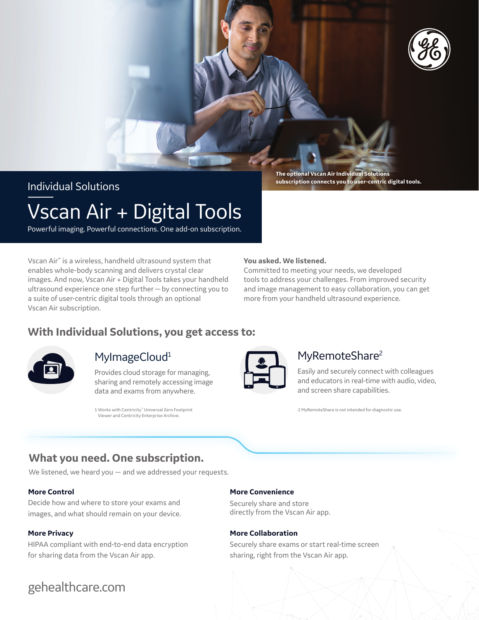

Individual Solutions

**The optional Vscan Air Individual Solutions subscription connects you to user-centric digital tools.**

# Vscan Air + Digital Tools

Powerful imaging. Powerful connections. One add-on subscription.

Vscan Air™ is a wireless, handheld ultrasound system that enables whole-body scanning and delivers crystal clear images. And now, Vscan Air + Digital Tools takes your handheld ultrasound experience one step further—by connecting you to a suite of user-centric digital tools through an optional Vscan Air subscription.

#### **You asked. We listened.**

Committed to meeting your needs, we developed tools to address your challenges. From improved security and image management to easy collaboration, you can get more from your handheld ultrasound experience.

### **With Individual Solutions, you get access to:**



### MyImageCloud<sup>1</sup>

Provides cloud storage for managing, sharing and remotely accessing image data and exams from anywhere.

1 Works with Centricity™ Universal Zero Footprint Viewer and Centricity Enterprise Archive.

### MyRemoteShare<sup>2</sup>

Easily and securely connect with colleagues and educators in real-time with audio, video, and screen share capabilities.

2 MyRemoteShare is not intended for diagnostic use.

### **What you need. One subscription.**

We listened, we heard you — and we addressed your requests.

#### **More Control**

Decide how and where to store your exams and images, and what should remain on your device.

#### **More Privacy**

HIPAA compliant with end-to-end data encryption for sharing data from the Vscan Air app.

### gehealthcare.com

#### **More Convenience**

Securely share and store directly from the Vscan Air app.

#### **More Collaboration**

Securely share exams or start real-time screen sharing, right from the Vscan Air app.